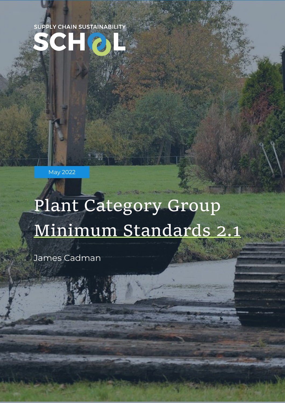

May 2022

# Plant Category Group Minimum Standards 2.1

supplychainschool.co.uk 1

James Cadman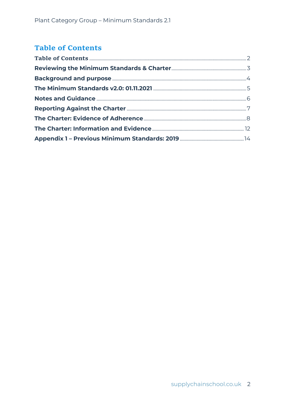### <span id="page-1-0"></span>**Table of Contents**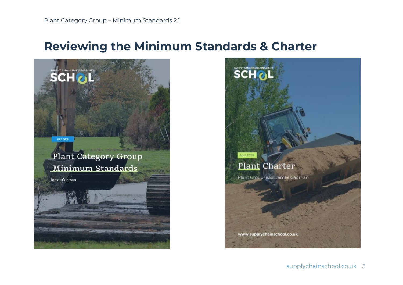### **Reviewing the Minimum Standards & Charter**

<span id="page-2-0"></span>

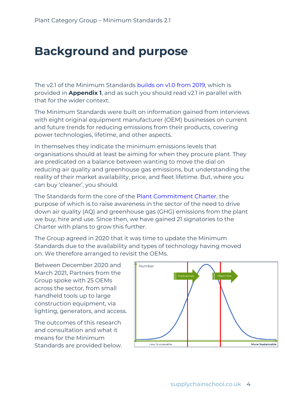## <span id="page-3-0"></span>**Background and purpose**

The v2.1 of the Minimum Standards [builds on v1.0 from 2019,](https://www.supplychainschool.co.uk/wp-content/uploads/2019/10/Plant-category-Group-briefing-1019-final.pdf) which is provided in **Appendix 1**, and as such you should read v2.1 in parallel with that for the wider context.

The Minimum Standards were built on information gained from interviews with eight original equipment manufacturer (OEM) businesses on current and future trends for reducing emissions from their products, covering power technologies, lifetime, and other aspects.

In themselves they indicate the minimum emissions levels that organisations should at least be aiming for when they procure plant. They are predicated on a balance between wanting to move the dial on reducing air quality and greenhouse gas emissions, but understanding the reality of their market availability, price, and fleet lifetime. But, where you can buy 'cleaner', you should.

The Standards form the core of the [Plant Commitment Charter,](https://www.supplychainschool.co.uk/partners/groups/plant-group/plant-charter/) the purpose of which is to raise awareness in the sector of the need to drive down air quality (AQ) and greenhouse gas (GHG) emissions from the plant we buy, hire and use. Since then, we have gained 21 signatories to the Charter with plans to grow this further.

The Group agreed in 2020 that it was time to update the Minimum Standards due to the availability and types of technology having moved on. We therefore arranged to revisit the OEMs.

Between December 2020 and March 2021, Partners from the Group spoke with 25 OEMs across the sector, from small handheld tools up to large construction equipment, via lighting, generators, and access.

The outcomes of this research and consultation and what it means for the Minimum Standards are provided below.

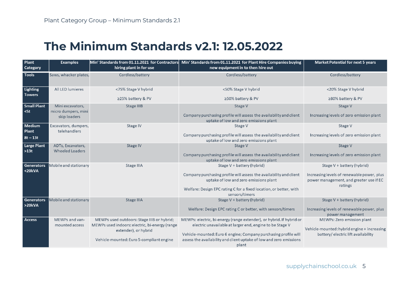### **The Minimum Standards v2.1: 12.05.2022**

<span id="page-4-0"></span>

| Plant<br><b>Category</b>     | <b>Examples</b>                             | Min' Standards from 01.11.2021 for Contractors<br>hiring plant in for use                                            | Min' Standards from 01.11.2021 for Plant Hire Companies buying<br>new equipment in to then hire out                                                                                                 | <b>Market Potential for next 5 years</b>                                                                         |
|------------------------------|---------------------------------------------|----------------------------------------------------------------------------------------------------------------------|-----------------------------------------------------------------------------------------------------------------------------------------------------------------------------------------------------|------------------------------------------------------------------------------------------------------------------|
| <b>Tools</b>                 | Saws, whacker plates,                       | Cordless/battery                                                                                                     | Cordless/battery                                                                                                                                                                                    | Cordless/battery                                                                                                 |
| Lighting<br><b>Towers</b>    | All LED lumieres                            | <75% Stage V hybrid                                                                                                  | <50% Stage V hybrid                                                                                                                                                                                 | <20% Stage V hybrid                                                                                              |
|                              |                                             | ≥25% battery & PV                                                                                                    | ≥50% battery & PV                                                                                                                                                                                   | ≥80% battery & PV                                                                                                |
| <b>Small Plant</b><br>$<$ 5t | Mini excavators,<br>micro dumpers, mini     | Stage IIIB                                                                                                           | Stage V                                                                                                                                                                                             | Stage V                                                                                                          |
|                              | skip loaders                                |                                                                                                                      | Company purchasing profile will assess the availability and client<br>uptake of low and zero emissions plant                                                                                        | Increasing levels of zero emission plant                                                                         |
| Medium<br>Plant              | Excavators, dumpers,<br>telehandlers        | Stage IV                                                                                                             | Stage V                                                                                                                                                                                             | Stage V                                                                                                          |
| $8t - 13t$                   |                                             |                                                                                                                      | Company purchasing profile will assess the availability and client<br>uptake of low and zero emissions plant                                                                                        | Increasing levels of zero emission plant                                                                         |
| Large Plant<br>$ $ >13t      | ADTs, Excavators,<br><b>Wheeled Loaders</b> | Stage IV                                                                                                             | Stage V                                                                                                                                                                                             | Stage V                                                                                                          |
|                              |                                             |                                                                                                                      | Company purchasing profile will assess the availability and client<br>uptake of low and zero emissions plant                                                                                        | Increasing levels of zero emission plant                                                                         |
| <b>Generators</b><br>$20kVA$ | Mobile and stationary                       | Stage IIIA                                                                                                           | Stage V + battery (hybrid)                                                                                                                                                                          | Stage V + battery (hybrid)                                                                                       |
|                              |                                             |                                                                                                                      | Company purchasing profile will assess the availability and client<br>uptake of low and zero emissions plant<br>Welfare: Design EPC rating C for a fixed location, or better, with                  | Increasing levels of renewable power, plus<br>power management, and greater use if EC<br>ratings                 |
|                              |                                             |                                                                                                                      | sensors/timers                                                                                                                                                                                      |                                                                                                                  |
| Generators<br>>20kVA         | Mobile and stationary                       | Stage IIIA                                                                                                           | Stage V + battery (hybrid)                                                                                                                                                                          | Stage V + battery (hybrid)                                                                                       |
|                              |                                             |                                                                                                                      | Welfare: Design EPC rating C or better, with sensors/timers                                                                                                                                         | Increasing levels of renewable power, plus<br>power management                                                   |
| Access                       | MEWPs and van-<br>mounted access            | MEWPs used outdoors: Stage IIIB or hybrid;<br>MEWPs used indoors: electric, bi-energy (range<br>extender), or hybrid | MEWPs: electric, bi-energy (range extender), or hybrid. If hybrid or<br>electric unavailable at larger end, engine to be Stage V<br>Vehicle-mounted: Euro 6 engine; Company purchasing profile will | MEWPs: Zero emission plant<br>Vehicle-mounted: hybrid engine + increasing<br>battery/ electric lift availability |
|                              |                                             | Vehicle-mounted: Euro 5-compliant engine                                                                             | assess the availability and client uptake of low and zero emissions<br>plant                                                                                                                        |                                                                                                                  |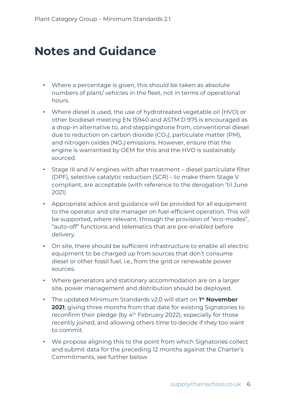# <span id="page-5-0"></span>**Notes and Guidance**

- Where a percentage is given, this should be taken as absolute numbers of plant/ vehicles in the fleet, not in terms of operational hours.
- Where diesel is used, the use of hydrotreated vegetable oil (HVO) or other biodiesel meeting EN 15940 and ASTM D 975 is encouraged as a drop-in alternative to, and steppingstone from, conventional diesel due to reduction on carbon dioxide  $(CO<sub>2</sub>)$ , particulate matter (PM), and nitrogen oxides  $(NO_x)$  emissions. However, ensure that the engine is warrantied by OEM for this and the HVO is sustainably sourced.
- Stage III and IV engines with after treatment diesel particulate filter (DPF), selective catalytic reduction (SCR) – to make them Stage V compliant, are acceptable (with reference to the derogation 'til June 2021)
- Appropriate advice and guidance will be provided for all equipment to the operator and site manager on fuel-efficient operation. This will be supported, where relevant, through the provision of "eco-modes", "auto-off" functions and telematics that are pre-enabled before delivery.
- On site, there should be sufficient infrastructure to enable all electric equipment to be charged up from sources that don't consume diesel or other fossil fuel, i.e., from the grid or renewable power sources.
- Where generators and stationary accommodation are on a larger site, power management and distribution should be deployed.
- The updated Minimum Standards v2.0 will start on **1 st November 2021**, giving three months from that date for existing Signatories to reconfirm their pledge (by 4th February 2022), especially for those recently joined, and allowing others time to decide if they too want to commit.
- We propose aligning this to the point from which Signatories collect and submit data for the preceding 12 months against the Charter's Commitments, see further below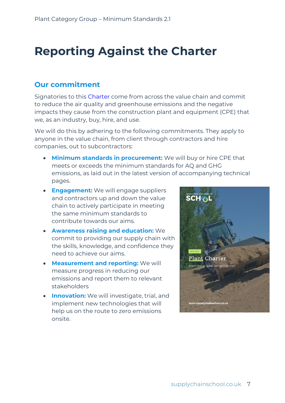# <span id="page-6-0"></span>**Reporting Against the Charter**

### **Our commitment**

Signatories to this [Charter](https://www.supplychainschool.co.uk/wp-content/uploads/2021/09/Plant-Commitment-Charter-Sept2021.pdf) come from across the value chain and commit to reduce the air quality and greenhouse emissions and the negative impacts they cause from the construction plant and equipment (CPE) that we, as an industry, buy, hire, and use.

We will do this by adhering to the following commitments. They apply to anyone in the value chain, from client through contractors and hire companies, out to subcontractors:

- **Minimum standards in procurement:** We will buy or hire CPE that meets or exceeds the minimum standards for AQ and GHG emissions, as laid out in the latest version of accompanying technical pages.
- **Engagement:** We will engage suppliers and contractors up and down the value chain to actively participate in meeting the same minimum standards to contribute towards our aims.
- **Awareness raising and education:** We commit to providing our supply chain with the skills, knowledge, and confidence they need to achieve our aims.
- **Measurement and reporting:** We will measure progress in reducing our emissions and report them to relevant stakeholders
- **Innovation:** We will investigate, trial, and implement new technologies that will help us on the route to zero emissions onsite.

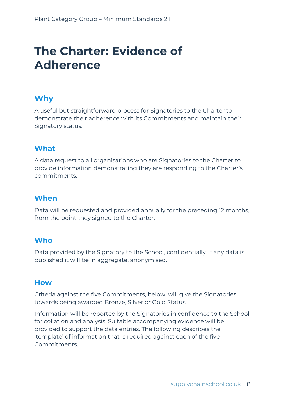# <span id="page-7-0"></span>**The Charter: Evidence of Adherence**

### **Why**

A useful but straightforward process for Signatories to the Charter to demonstrate their adherence with its Commitments and maintain their Signatory status.

### **What**

A data request to all organisations who are Signatories to the Charter to provide information demonstrating they are responding to the Charter's commitments.

### **When**

Data will be requested and provided annually for the preceding 12 months, from the point they signed to the Charter.

#### **Who**

Data provided by the Signatory to the School, confidentially. If any data is published it will be in aggregate, anonymised.

#### **How**

Criteria against the five Commitments, below, will give the Signatories towards being awarded Bronze, Silver or Gold Status.

Information will be reported by the Signatories in confidence to the School for collation and analysis. Suitable accompanying evidence will be provided to support the data entries. The following describes the 'template' of information that is required against each of the five Commitments.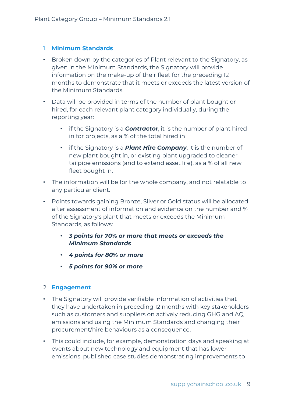#### 1. **Minimum Standards**

- Broken down by the categories of Plant relevant to the Signatory, as given in the Minimum Standards, the Signatory will provide information on the make-up of their fleet for the preceding 12 months to demonstrate that it meets or exceeds the latest version of the Minimum Standards.
- Data will be provided in terms of the number of plant bought or hired, for each relevant plant category individually, during the reporting year:
	- if the Signatory is a *Contractor*, it is the number of plant hired in for projects, as a % of the total hired in
	- if the Signatory is a *Plant Hire Company*, it is the number of new plant bought in, or existing plant upgraded to cleaner tailpipe emissions (and to extend asset life), as a % of all new fleet bought in.
- The information will be for the whole company, and not relatable to any particular client.
- Points towards gaining Bronze, Silver or Gold status will be allocated after assessment of information and evidence on the number and % of the Signatory's plant that meets or exceeds the Minimum Standards, as follows:
	- *3 points for 70% or more that meets or exceeds the Minimum Standards*
	- *4 points for 80% or more*
	- *5 points for 90% or more*

#### 2. **Engagement**

- The Signatory will provide verifiable information of activities that they have undertaken in preceding 12 months with key stakeholders such as customers and suppliers on actively reducing GHG and AQ emissions and using the Minimum Standards and changing their procurement/hire behaviours as a consequence.
- This could include, for example, demonstration days and speaking at events about new technology and equipment that has lower emissions, published case studies demonstrating improvements to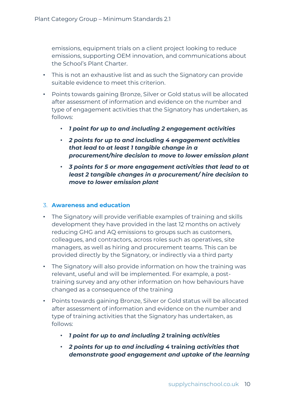emissions, equipment trials on a client project looking to reduce emissions, supporting OEM innovation, and communications about the School's Plant Charter.

- This is not an exhaustive list and as such the Signatory can provide suitable evidence to meet this criterion.
- Points towards gaining Bronze, Silver or Gold status will be allocated after assessment of information and evidence on the number and type of engagement activities that the Signatory has undertaken, as follows:
	- *1 point for up to and including 2 engagement activities*
	- *2 points for up to and including 4 engagement activities that lead to at least 1 tangible change in a procurement/hire decision to move to lower emission plant*
	- *3 points for 5 or more engagement activities that lead to at least 2 tangible changes in a procurement/ hire decision to move to lower emission plant*

#### 3. **Awareness and education**

- The Signatory will provide verifiable examples of training and skills development they have provided in the last 12 months on actively reducing GHG and AQ emissions to groups such as customers, colleagues, and contractors, across roles such as operatives, site managers, as well as hiring and procurement teams. This can be provided directly by the Signatory, or indirectly via a third party
- The Signatory will also provide information on how the training was relevant, useful and will be implemented. For example, a posttraining survey and any other information on how behaviours have changed as a consequence of the training
- Points towards gaining Bronze, Silver or Gold status will be allocated after assessment of information and evidence on the number and type of training activities that the Signatory has undertaken, as follows:
	- *1 point for up to and including 2* **training** *activities*
	- *2 points for up to and including 4* **training** *activities that demonstrate good engagement and uptake of the learning*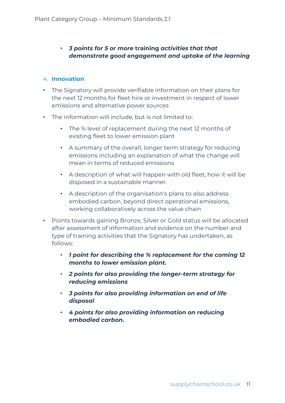#### • *3 points for 5 or more* **training** *activities that that demonstrate good engagement and uptake of the learning*

#### 4. **Innovation**

- The Signatory will provide verifiable information on their plans for the next 12 months for fleet hire or investment in respect of lower emissions and alternative power sources
- The information will include, but is not limited to:
	- The % level of replacement during the next 12 months of existing fleet to lower emission plant
	- A summary of the overall, longer term strategy for reducing emissions including an explanation of what the change will mean in terms of reduced emissions
	- A description of what will happen with old fleet, how it will be disposed in a sustainable manner.
	- A description of the organisation's plans to also address embodied carbon, beyond direct operational emissions, working collaboratively across the value chain
- Points towards gaining Bronze, Silver or Gold status will be allocated after assessment of information and evidence on the number and type of training activities that the Signatory has undertaken, as follows:
	- *1 point for describing the % replacement for the coming 12 months to lower emission plant.*
	- *2 points for also providing the longer-term strategy for reducing emissions*
	- *3 points for also providing information on end of life disposal*
	- *4 points for also providing information on reducing embodied carbon.*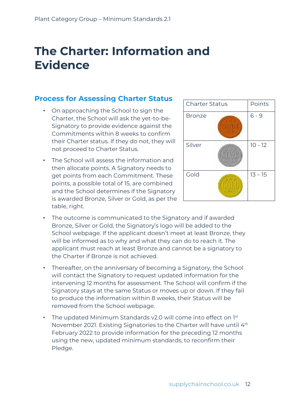# <span id="page-11-0"></span>**The Charter: Information and Evidence**

### **Process for Assessing Charter Status**

- On approaching the School to sign the Charter, the School will ask the yet-to-be-Signatory to provide evidence against the Commitments within 8 weeks to confirm their Charter status. If they do not, they will not proceed to Charter Status.
- The School will assess the information and then allocate points. A Signatory needs to get points from each Commitment. These points, a possible total of 15, are combined and the School determines if the Signatory is awarded Bronze, Silver or Gold, as per the table, right.



- The outcome is communicated to the Signatory and if awarded Bronze, Silver or Gold, the Signatory's logo will be added to the School webpage. If the applicant doesn't meet at least Bronze, they will be informed as to why and what they can do to reach it. The applicant must reach at least Bronze and cannot be a signatory to the Charter if Bronze is not achieved.
- Thereafter, on the anniversary of becoming a Signatory, the School will contact the Signatory to request updated information for the intervening 12 months for assessment. The School will confirm if the Signatory stays at the same Status or moves up or down. If they fail to produce the information within 8 weeks, their Status will be removed from the School webpage.
- The updated Minimum Standards v2.0 will come into effect on  $1<sup>st</sup>$ November 2021. Existing Signatories to the Charter will have until 4th February 2022 to provide information for the preceding 12 months using the new, updated minimum standards, to reconfirm their Pledge.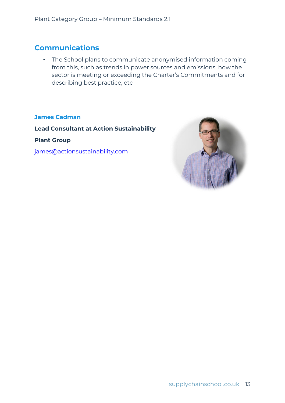### **Communications**

• The School plans to communicate anonymised information coming from this, such as trends in power sources and emissions, how the sector is meeting or exceeding the Charter's Commitments and for describing best practice, etc

#### **James Cadman**

**Lead Consultant at Action Sustainability**

**Plant Group**

[james@actionsustainability.com](mailto:james@actionsustainability.com)